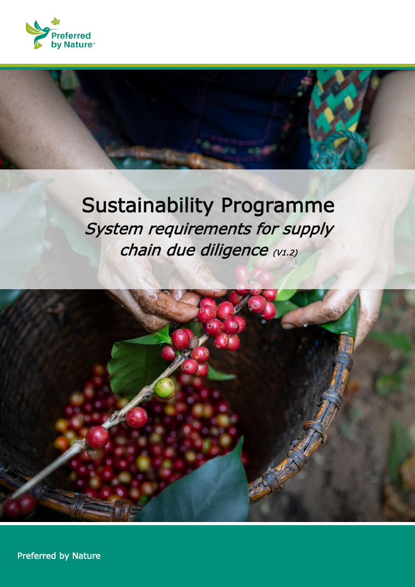

# Sustainability Programme System requirements for supply chain due diligence (V1.2)



**1 Referred by Nature | Version 1.2 | Version 1.2 | Version 1.2 | Version 1.2 | Version 1.2 | Version 1.2 | Ve**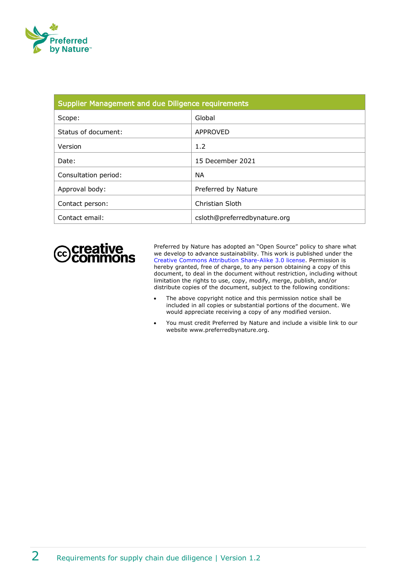

| Supplier Management and due Diligence requirements |                              |  |
|----------------------------------------------------|------------------------------|--|
| Scope:                                             | Global                       |  |
| Status of document:                                | APPROVED                     |  |
| Version                                            | 1.2                          |  |
| Date:                                              | 15 December 2021             |  |
| Consultation period:                               | <b>NA</b>                    |  |
| Approval body:                                     | Preferred by Nature          |  |
| Contact person:                                    | Christian Sloth              |  |
| Contact email:                                     | csloth@preferredbynature.org |  |



Preferred by Nature has adopted an "Open Source" policy to share what we develop to advance sustainability. This work is published under the [Creative Commons Attribution](http://creativecommons.org/licenses/by/3.0/) Share-Alike 3.0 license. Permission is hereby granted, free of charge, to any person obtaining a copy of this document, to deal in the document without restriction, including without limitation the rights to use, copy, modify, merge, publish, and/or distribute copies of the document, subject to the following conditions:

- The above copyright notice and this permission notice shall be included in all copies or substantial portions of the document. We would appreciate receiving a copy of any modified version.
- You must credit Preferred by Nature and include a visible link to our website www.preferredbynature.org.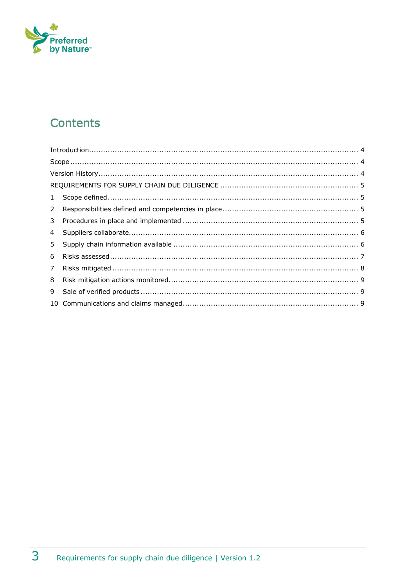

# **Contents**

|             | Introduction 4 |  |
|-------------|----------------|--|
|             |                |  |
|             |                |  |
|             |                |  |
|             |                |  |
| $2^{\circ}$ |                |  |
|             |                |  |
| $4 \quad$   |                |  |
| 5           |                |  |
| 6           |                |  |
| $7^{\circ}$ |                |  |
| 8           |                |  |
| 9           |                |  |
|             |                |  |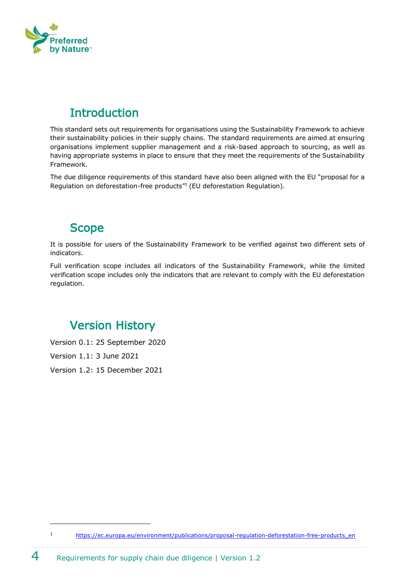

# <span id="page-3-0"></span>**Introduction**

This standard sets out requirements for organisations using the Sustainability Framework to achieve their sustainability policies in their supply chains. The standard requirements are aimed at ensuring organisations implement supplier management and a risk-based approach to sourcing, as well as having appropriate systems in place to ensure that they meet the requirements of the Sustainability Framework.

The due diligence requirements of this standard have also been aligned with the EU "proposal for a Regulation on deforestation-free products"<sup>1</sup> (EU deforestation Regulation).

#### <span id="page-3-1"></span>**Scope**

It is possible for users of the Sustainability Framework to be verified against two different sets of indicators.

Full verification scope includes all indicators of the Sustainability Framework, while the limited verification scope includes only the indicators that are relevant to comply with the EU deforestation regulation.

# <span id="page-3-2"></span>Version History

Version 0.1: 25 September 2020

Version 1.1: 3 June 2021

Version 1.2: 15 December 2021

<sup>1</sup> [https://ec.europa.eu/environment/publications/proposal-regulation-deforestation-free-products\\_en](https://ec.europa.eu/environment/publications/proposal-regulation-deforestation-free-products_en)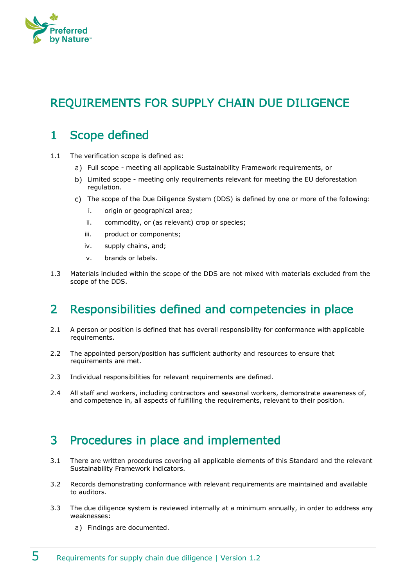

# <span id="page-4-0"></span>REQUIREMENTS FOR SUPPLY CHAIN DUE DILIGENCE

# <span id="page-4-1"></span>1 Scope defined

- 1.1 The verification scope is defined as:
	- Full scope meeting all applicable Sustainability Framework requirements, or
	- b) Limited scope meeting only requirements relevant for meeting the EU deforestation regulation.
	- The scope of the Due Diligence System (DDS) is defined by one or more of the following:
		- i. origin or geographical area;
		- ii. commodity, or (as relevant) crop or species;
		- iii. product or components;
		- iv. supply chains, and;
		- v. brands or labels.
- 1.3 Materials included within the scope of the DDS are not mixed with materials excluded from the scope of the DDS.

#### <span id="page-4-2"></span>2 Responsibilities defined and competencies in place

- 2.1 A person or position is defined that has overall responsibility for conformance with applicable requirements.
- 2.2 The appointed person/position has sufficient authority and resources to ensure that requirements are met.
- 2.3 Individual responsibilities for relevant requirements are defined.
- 2.4 All staff and workers, including contractors and seasonal workers, demonstrate awareness of, and competence in, all aspects of fulfilling the requirements, relevant to their position.

#### <span id="page-4-3"></span>3 Procedures in place and implemented

- 3.1 There are written procedures covering all applicable elements of this Standard and the relevant Sustainability Framework indicators.
- 3.2 Records demonstrating conformance with relevant requirements are maintained and available to auditors.
- 3.3 The due diligence system is reviewed internally at a minimum annually, in order to address any weaknesses:
	- a) Findings are documented.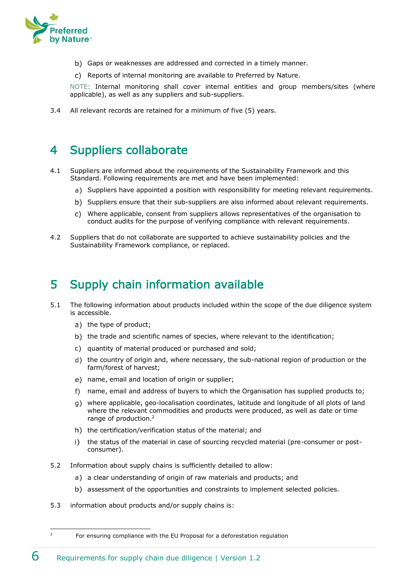

- b) Gaps or weaknesses are addressed and corrected in a timely manner.
- c) Reports of internal monitoring are available to Preferred by Nature.

NOTE: Internal monitoring shall cover internal entities and group members/sites (where applicable), as well as any suppliers and sub-suppliers.

3.4 All relevant records are retained for a minimum of five (5) years.

#### <span id="page-5-0"></span>4 Suppliers collaborate

- 4.1 Suppliers are informed about the requirements of the Sustainability Framework and this Standard. Following requirements are met and have been implemented:
	- a) Suppliers have appointed a position with responsibility for meeting relevant requirements.
	- b) Suppliers ensure that their sub-suppliers are also informed about relevant requirements.
	- Where applicable, consent from suppliers allows representatives of the organisation to conduct audits for the purpose of verifying compliance with relevant requirements.
- 4.2 Suppliers that do not collaborate are supported to achieve sustainability policies and the Sustainability Framework compliance, or replaced.

# <span id="page-5-1"></span>5 Supply chain information available

- 5.1 The following information about products included within the scope of the due diligence system is accessible.
	- a) the type of product;
	- b) the trade and scientific names of species, where relevant to the identification;
	- c) quantity of material produced or purchased and sold;
	- the country of origin and, where necessary, the sub-national region of production or the farm/forest of harvest;
	- e) name, email and location of origin or supplier:
	- f) name, email and address of buyers to which the Organisation has supplied products to;
	- where applicable, geo-localisation coordinates, latitude and longitude of all plots of land where the relevant commodities and products were produced, as well as date or time range of production.<sup>2</sup>
	- h) the certification/verification status of the material; and
	- i) the status of the material in case of sourcing recycled material (pre-consumer or postconsumer).
- 5.2 Information about supply chains is sufficiently detailed to allow:
	- a) a clear understanding of origin of raw materials and products; and
	- b) assessment of the opportunities and constraints to implement selected policies.
- 5.3 information about products and/or supply chains is:

<sup>&</sup>lt;sup>2</sup> For ensuring compliance with the EU Proposal for a deforestation regulation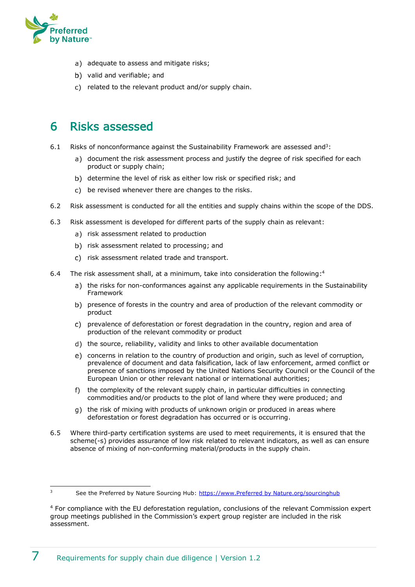

- a) adequate to assess and mitigate risks;
- b) valid and verifiable; and
- c) related to the relevant product and/or supply chain.

#### <span id="page-6-0"></span>6 Risks assessed

- 6.1 Risks of nonconformance against the Sustainability Framework are assessed and<sup>3</sup>:
	- a) document the risk assessment process and justify the degree of risk specified for each product or supply chain;
	- b) determine the level of risk as either low risk or specified risk; and
	- c) be revised whenever there are changes to the risks.
- 6.2 Risk assessment is conducted for all the entities and supply chains within the scope of the DDS.
- 6.3 Risk assessment is developed for different parts of the supply chain as relevant:
	- a) risk assessment related to production
	- b) risk assessment related to processing; and
	- c) risk assessment related trade and transport.
- 6.4 The risk assessment shall, at a minimum, take into consideration the following:<sup>4</sup>
	- a) the risks for non-conformances against any applicable requirements in the Sustainability Framework
	- b) presence of forests in the country and area of production of the relevant commodity or product
	- c) prevalence of deforestation or forest degradation in the country, region and area of production of the relevant commodity or product
	- d) the source, reliability, validity and links to other available documentation
	- concerns in relation to the country of production and origin, such as level of corruption, prevalence of document and data falsification, lack of law enforcement, armed conflict or presence of sanctions imposed by the United Nations Security Council or the Council of the European Union or other relevant national or international authorities;
	- f) the complexity of the relevant supply chain, in particular difficulties in connecting commodities and/or products to the plot of land where they were produced; and
	- the risk of mixing with products of unknown origin or produced in areas where deforestation or forest degradation has occurred or is occurring.
- 6.5 Where third-party certification systems are used to meet requirements, it is ensured that the scheme(-s) provides assurance of low risk related to relevant indicators, as well as can ensure absence of mixing of non-conforming material/products in the supply chain.

<sup>&</sup>lt;sup>3</sup> See the Preferred by Nature Sourcing Hub: [https://www.Preferred by Nature.org/sourcinghub](https://www.nepcon.org/sourcinghub)

<sup>4</sup> For compliance with the EU deforestation regulation, conclusions of the relevant Commission expert group meetings published in the Commission's expert group register are included in the risk assessment.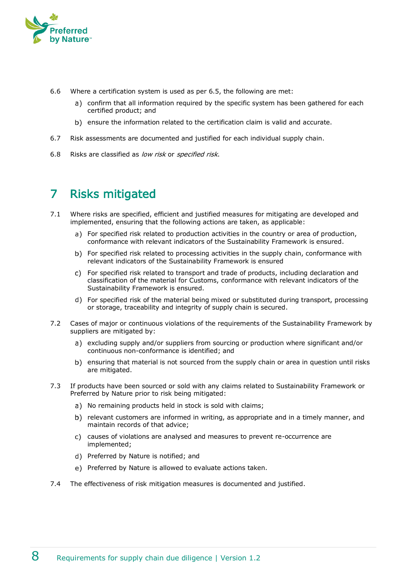

- 6.6 Where a certification system is used as per 6.5, the following are met:
	- a) confirm that all information required by the specific system has been gathered for each certified product; and
	- b) ensure the information related to the certification claim is valid and accurate.
- 6.7 Risk assessments are documented and justified for each individual supply chain.
- 6.8 Risks are classified as low risk or specified risk.

# <span id="page-7-0"></span>7 Risks mitigated

- 7.1 Where risks are specified, efficient and justified measures for mitigating are developed and implemented, ensuring that the following actions are taken, as applicable:
	- a) For specified risk related to production activities in the country or area of production, conformance with relevant indicators of the Sustainability Framework is ensured.
	- b) For specified risk related to processing activities in the supply chain, conformance with relevant indicators of the Sustainability Framework is ensured
	- For specified risk related to transport and trade of products, including declaration and classification of the material for Customs, conformance with relevant indicators of the Sustainability Framework is ensured.
	- For specified risk of the material being mixed or substituted during transport, processing or storage, traceability and integrity of supply chain is secured.
- 7.2 Cases of major or continuous violations of the requirements of the Sustainability Framework by suppliers are mitigated by:
	- a) excluding supply and/or suppliers from sourcing or production where significant and/or continuous non-conformance is identified; and
	- b) ensuring that material is not sourced from the supply chain or area in question until risks are mitigated.
- 7.3 If products have been sourced or sold with any claims related to Sustainability Framework or Preferred by Nature prior to risk being mitigated:
	- a) No remaining products held in stock is sold with claims;
	- b) relevant customers are informed in writing, as appropriate and in a timely manner, and maintain records of that advice;
	- c) causes of violations are analysed and measures to prevent re-occurrence are implemented;
	- d) Preferred by Nature is notified; and
	- e) Preferred by Nature is allowed to evaluate actions taken.
- 7.4 The effectiveness of risk mitigation measures is documented and justified.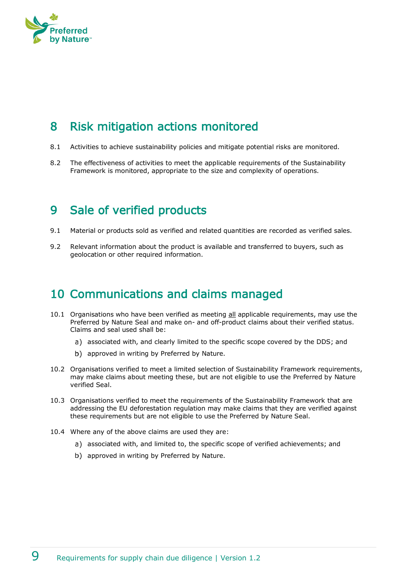

# <span id="page-8-0"></span>8 Risk mitigation actions monitored

- 8.1 Activities to achieve sustainability policies and mitigate potential risks are monitored.
- 8.2 The effectiveness of activities to meet the applicable requirements of the Sustainability Framework is monitored, appropriate to the size and complexity of operations.

#### <span id="page-8-1"></span>9 Sale of verified products

- 9.1 Material or products sold as verified and related quantities are recorded as verified sales.
- 9.2 Relevant information about the product is available and transferred to buyers, such as geolocation or other required information.

#### <span id="page-8-2"></span>10 Communications and claims managed

- 10.1 Organisations who have been verified as meeting all applicable requirements, may use the Preferred by Nature Seal and make on- and off-product claims about their verified status. Claims and seal used shall be:
	- a) associated with, and clearly limited to the specific scope covered by the DDS; and
	- b) approved in writing by Preferred by Nature.
- 10.2 Organisations verified to meet a limited selection of Sustainability Framework requirements, may make claims about meeting these, but are not eligible to use the Preferred by Nature verified Seal.
- 10.3 Organisations verified to meet the requirements of the Sustainability Framework that are addressing the EU deforestation regulation may make claims that they are verified against these requirements but are not eligible to use the Preferred by Nature Seal.
- 10.4 Where any of the above claims are used they are:
	- a) associated with, and limited to, the specific scope of verified achievements; and
	- b) approved in writing by Preferred by Nature.